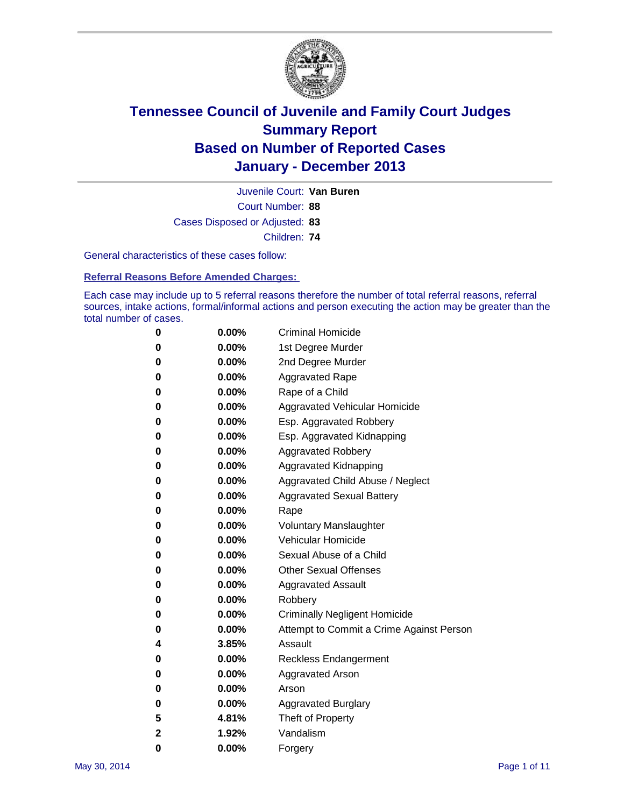

Court Number: **88** Juvenile Court: **Van Buren** Cases Disposed or Adjusted: **83** Children: **74**

General characteristics of these cases follow:

**Referral Reasons Before Amended Charges:** 

Each case may include up to 5 referral reasons therefore the number of total referral reasons, referral sources, intake actions, formal/informal actions and person executing the action may be greater than the total number of cases.

| 0 | $0.00\%$ | <b>Criminal Homicide</b>                 |
|---|----------|------------------------------------------|
| 0 | 0.00%    | 1st Degree Murder                        |
| 0 | 0.00%    | 2nd Degree Murder                        |
| 0 | $0.00\%$ | <b>Aggravated Rape</b>                   |
| 0 | 0.00%    | Rape of a Child                          |
| 0 | 0.00%    | Aggravated Vehicular Homicide            |
| 0 | $0.00\%$ | Esp. Aggravated Robbery                  |
| 0 | 0.00%    | Esp. Aggravated Kidnapping               |
| 0 | 0.00%    | <b>Aggravated Robbery</b>                |
| 0 | $0.00\%$ | Aggravated Kidnapping                    |
| 0 | 0.00%    | Aggravated Child Abuse / Neglect         |
| 0 | 0.00%    | <b>Aggravated Sexual Battery</b>         |
| 0 | $0.00\%$ | Rape                                     |
| 0 | 0.00%    | <b>Voluntary Manslaughter</b>            |
| 0 | 0.00%    | <b>Vehicular Homicide</b>                |
| 0 | $0.00\%$ | Sexual Abuse of a Child                  |
| 0 | 0.00%    | <b>Other Sexual Offenses</b>             |
| 0 | 0.00%    | <b>Aggravated Assault</b>                |
| 0 | $0.00\%$ | Robbery                                  |
| 0 | 0.00%    | <b>Criminally Negligent Homicide</b>     |
| 0 | 0.00%    | Attempt to Commit a Crime Against Person |
| 4 | 3.85%    | Assault                                  |
| 0 | 0.00%    | Reckless Endangerment                    |
| 0 | 0.00%    | <b>Aggravated Arson</b>                  |
| 0 | 0.00%    | Arson                                    |
| 0 | 0.00%    | <b>Aggravated Burglary</b>               |
| 5 | 4.81%    | Theft of Property                        |
| 2 | 1.92%    | Vandalism                                |
| 0 | 0.00%    | Forgery                                  |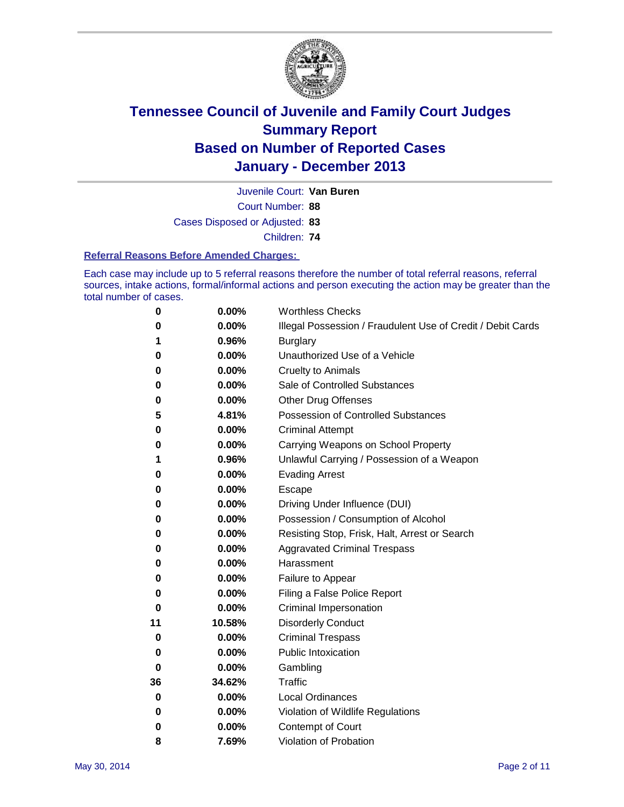

Court Number: **88** Juvenile Court: **Van Buren** Cases Disposed or Adjusted: **83** Children: **74**

### **Referral Reasons Before Amended Charges:**

Each case may include up to 5 referral reasons therefore the number of total referral reasons, referral sources, intake actions, formal/informal actions and person executing the action may be greater than the total number of cases.

| 0  | 0.00%  | <b>Worthless Checks</b>                                     |
|----|--------|-------------------------------------------------------------|
| 0  | 0.00%  | Illegal Possession / Fraudulent Use of Credit / Debit Cards |
| 1  | 0.96%  | <b>Burglary</b>                                             |
| 0  | 0.00%  | Unauthorized Use of a Vehicle                               |
| 0  | 0.00%  | <b>Cruelty to Animals</b>                                   |
| 0  | 0.00%  | Sale of Controlled Substances                               |
| 0  | 0.00%  | <b>Other Drug Offenses</b>                                  |
| 5  | 4.81%  | Possession of Controlled Substances                         |
| 0  | 0.00%  | <b>Criminal Attempt</b>                                     |
| 0  | 0.00%  | Carrying Weapons on School Property                         |
| 1  | 0.96%  | Unlawful Carrying / Possession of a Weapon                  |
| 0  | 0.00%  | <b>Evading Arrest</b>                                       |
| 0  | 0.00%  | Escape                                                      |
| 0  | 0.00%  | Driving Under Influence (DUI)                               |
| 0  | 0.00%  | Possession / Consumption of Alcohol                         |
| 0  | 0.00%  | Resisting Stop, Frisk, Halt, Arrest or Search               |
| 0  | 0.00%  | <b>Aggravated Criminal Trespass</b>                         |
| 0  | 0.00%  | Harassment                                                  |
| 0  | 0.00%  | Failure to Appear                                           |
| 0  | 0.00%  | Filing a False Police Report                                |
| 0  | 0.00%  | Criminal Impersonation                                      |
| 11 | 10.58% | <b>Disorderly Conduct</b>                                   |
| 0  | 0.00%  | <b>Criminal Trespass</b>                                    |
| 0  | 0.00%  | <b>Public Intoxication</b>                                  |
| 0  | 0.00%  | Gambling                                                    |
| 36 | 34.62% | <b>Traffic</b>                                              |
| 0  | 0.00%  | <b>Local Ordinances</b>                                     |
| 0  | 0.00%  | Violation of Wildlife Regulations                           |
| 0  | 0.00%  | Contempt of Court                                           |
| 8  | 7.69%  | Violation of Probation                                      |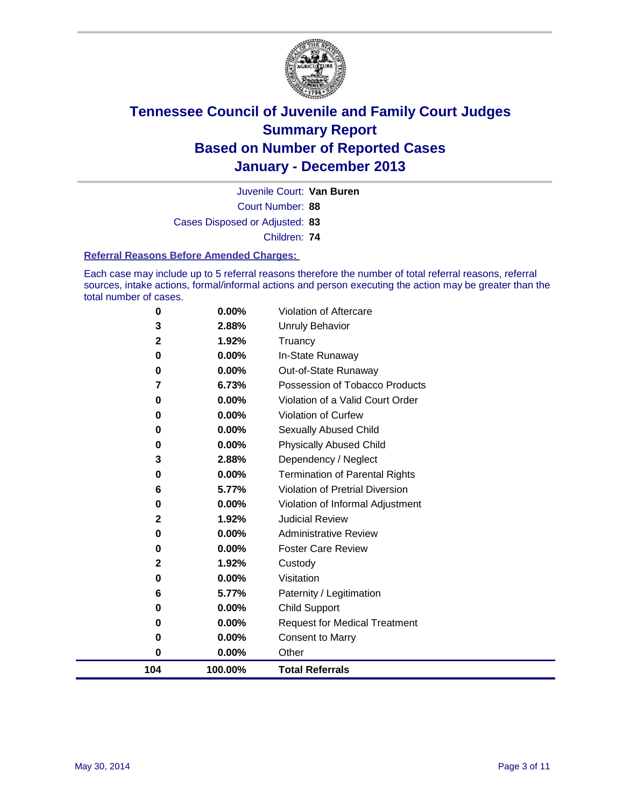

Court Number: **88** Juvenile Court: **Van Buren** Cases Disposed or Adjusted: **83** Children: **74**

### **Referral Reasons Before Amended Charges:**

Each case may include up to 5 referral reasons therefore the number of total referral reasons, referral sources, intake actions, formal/informal actions and person executing the action may be greater than the total number of cases.

| 0<br>0      | 0.00%<br>0.00% | <b>Child Support</b><br><b>Request for Medical Treatment</b>       |
|-------------|----------------|--------------------------------------------------------------------|
| 6           | 5.77%          | Paternity / Legitimation                                           |
| 0           | 0.00%          | Visitation                                                         |
| $\mathbf 2$ | 1.92%          | Custody                                                            |
| 0           | 0.00%          | <b>Foster Care Review</b>                                          |
| 0           | 0.00%          | <b>Administrative Review</b>                                       |
| 2           | 1.92%          | <b>Judicial Review</b>                                             |
| 0           | 0.00%          | Violation of Informal Adjustment                                   |
| 6           | 5.77%          | Violation of Pretrial Diversion                                    |
| 0           | 0.00%          | <b>Termination of Parental Rights</b>                              |
| 3           | 2.88%          | Dependency / Neglect                                               |
| 0           | 0.00%          | <b>Physically Abused Child</b>                                     |
| 0           | 0.00%          | Sexually Abused Child                                              |
| 0           | 0.00%          | Violation of Curfew                                                |
| 7<br>0      | 6.73%<br>0.00% | Possession of Tobacco Products<br>Violation of a Valid Court Order |
| 0           | 0.00%          | Out-of-State Runaway                                               |
| 0           | 0.00%          | In-State Runaway                                                   |
| $\mathbf 2$ | 1.92%          | Truancy                                                            |
| 3           | 2.88%          | <b>Unruly Behavior</b>                                             |
| 0           | $0.00\%$       | Violation of Aftercare                                             |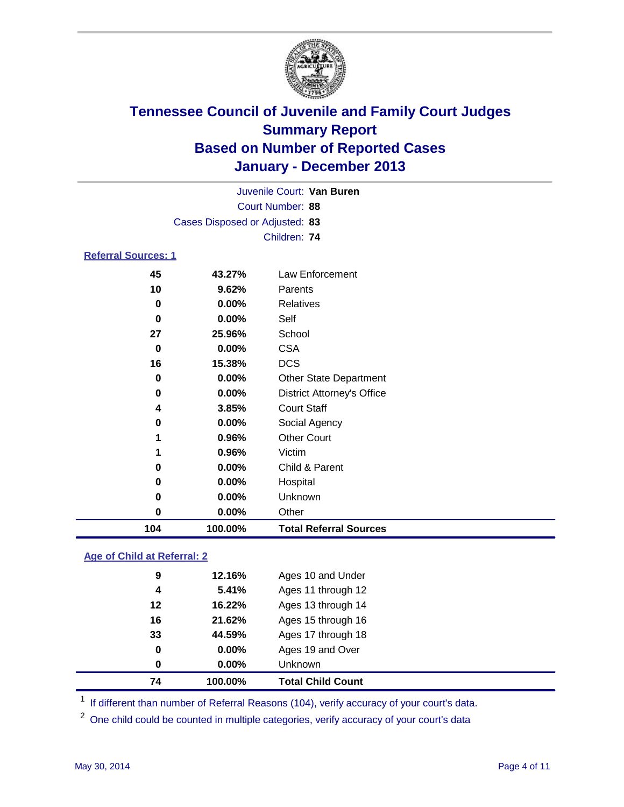

| Juvenile Court: Van Buren  |                                                       |                                                                                                                                                                                                                                       |  |  |  |  |  |
|----------------------------|-------------------------------------------------------|---------------------------------------------------------------------------------------------------------------------------------------------------------------------------------------------------------------------------------------|--|--|--|--|--|
| Court Number: 88           |                                                       |                                                                                                                                                                                                                                       |  |  |  |  |  |
|                            | Cases Disposed or Adjusted: 83                        |                                                                                                                                                                                                                                       |  |  |  |  |  |
|                            |                                                       |                                                                                                                                                                                                                                       |  |  |  |  |  |
| <b>Referral Sources: 1</b> |                                                       |                                                                                                                                                                                                                                       |  |  |  |  |  |
| 45                         | 43.27%                                                | Law Enforcement                                                                                                                                                                                                                       |  |  |  |  |  |
| 10                         | 9.62%<br>Parents<br>Relatives<br>$\bf{0}$<br>$0.00\%$ |                                                                                                                                                                                                                                       |  |  |  |  |  |
|                            |                                                       |                                                                                                                                                                                                                                       |  |  |  |  |  |
| $\bf{0}$                   | $0.00\%$                                              | Children: 74<br>Self<br>School<br><b>CSA</b><br><b>DCS</b><br><b>Other State Department</b><br><b>District Attorney's Office</b><br><b>Court Staff</b><br>Social Agency<br><b>Other Court</b><br>Victim<br>Child & Parent<br>Hospital |  |  |  |  |  |
| 27<br>25.96%               |                                                       |                                                                                                                                                                                                                                       |  |  |  |  |  |
| $\bf{0}$                   | 0.00%                                                 |                                                                                                                                                                                                                                       |  |  |  |  |  |
| 16                         | 15.38%                                                |                                                                                                                                                                                                                                       |  |  |  |  |  |
| $0.00\%$<br>0              |                                                       |                                                                                                                                                                                                                                       |  |  |  |  |  |
| 0                          | 0.00%                                                 |                                                                                                                                                                                                                                       |  |  |  |  |  |
| 4                          | 3.85%                                                 |                                                                                                                                                                                                                                       |  |  |  |  |  |
| 0                          | 0.00%                                                 |                                                                                                                                                                                                                                       |  |  |  |  |  |
| 1                          | 0.96%                                                 |                                                                                                                                                                                                                                       |  |  |  |  |  |
| 1                          | 0.96%                                                 |                                                                                                                                                                                                                                       |  |  |  |  |  |
| 0                          | 0.00%                                                 |                                                                                                                                                                                                                                       |  |  |  |  |  |
| 0                          | $0.00\%$                                              |                                                                                                                                                                                                                                       |  |  |  |  |  |
| 0                          | 0.00%                                                 | Unknown                                                                                                                                                                                                                               |  |  |  |  |  |
| 0                          | $0.00\%$                                              | Other                                                                                                                                                                                                                                 |  |  |  |  |  |

### **Age of Child at Referral: 2**

| 74 | 100.00%  | <b>Total Child Count</b> |
|----|----------|--------------------------|
| 0  | $0.00\%$ | <b>Unknown</b>           |
| 0  | 0.00%    | Ages 19 and Over         |
| 33 | 44.59%   | Ages 17 through 18       |
| 16 | 21.62%   | Ages 15 through 16       |
| 12 | 16.22%   | Ages 13 through 14       |
| 4  | 5.41%    | Ages 11 through 12       |
| 9  | 12.16%   | Ages 10 and Under        |
|    |          |                          |

<sup>1</sup> If different than number of Referral Reasons (104), verify accuracy of your court's data.

<sup>2</sup> One child could be counted in multiple categories, verify accuracy of your court's data

**100.00% Total Referral Sources**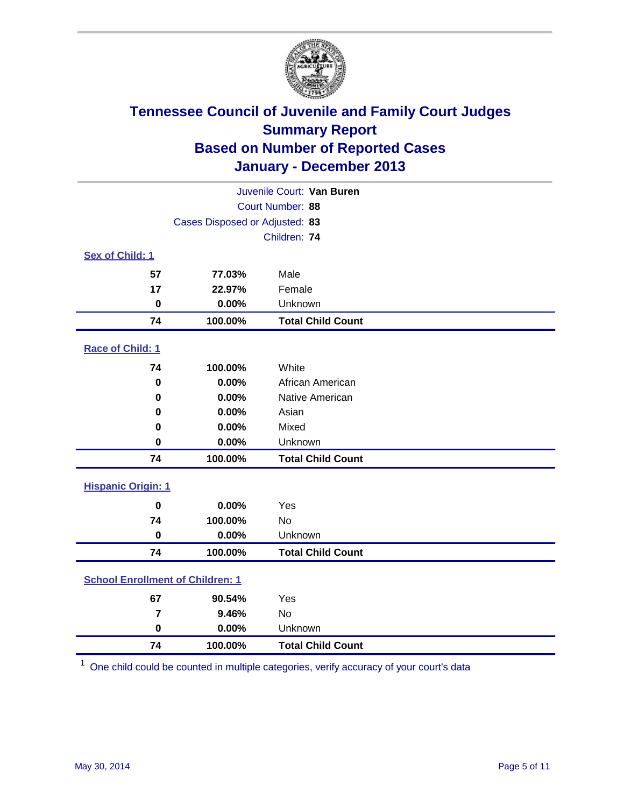

| Juvenile Court: Van Buren |                                         |                          |  |  |
|---------------------------|-----------------------------------------|--------------------------|--|--|
|                           | Court Number: 88                        |                          |  |  |
|                           | Cases Disposed or Adjusted: 83          |                          |  |  |
|                           |                                         | Children: 74             |  |  |
| Sex of Child: 1           |                                         |                          |  |  |
| 57                        | 77.03%                                  | Male                     |  |  |
| 17                        | 22.97%                                  | Female                   |  |  |
| 0                         | 0.00%                                   | Unknown                  |  |  |
| 74                        | 100.00%                                 | <b>Total Child Count</b> |  |  |
| Race of Child: 1          |                                         |                          |  |  |
| 74                        | 100.00%                                 | White                    |  |  |
| $\bf{0}$                  | 0.00%                                   | African American         |  |  |
| 0                         | 0.00%                                   | Native American          |  |  |
| 0.00%<br>0                |                                         | Asian                    |  |  |
| 0                         | 0.00%                                   | Mixed                    |  |  |
| 0                         | 0.00%                                   | Unknown                  |  |  |
| 74                        | 100.00%                                 | <b>Total Child Count</b> |  |  |
| <b>Hispanic Origin: 1</b> |                                         |                          |  |  |
| $\bf{0}$                  | 0.00%                                   | Yes                      |  |  |
| 74                        | 100.00%                                 | <b>No</b>                |  |  |
| $\bf{0}$                  | 0.00%                                   | Unknown                  |  |  |
| 74                        | 100.00%                                 | <b>Total Child Count</b> |  |  |
|                           | <b>School Enrollment of Children: 1</b> |                          |  |  |
| 67                        | 90.54%                                  | Yes                      |  |  |
| $\overline{7}$            | 9.46%                                   | No                       |  |  |
| $\bf{0}$                  | 0.00%                                   | Unknown                  |  |  |
| 74                        | 100.00%                                 | <b>Total Child Count</b> |  |  |

One child could be counted in multiple categories, verify accuracy of your court's data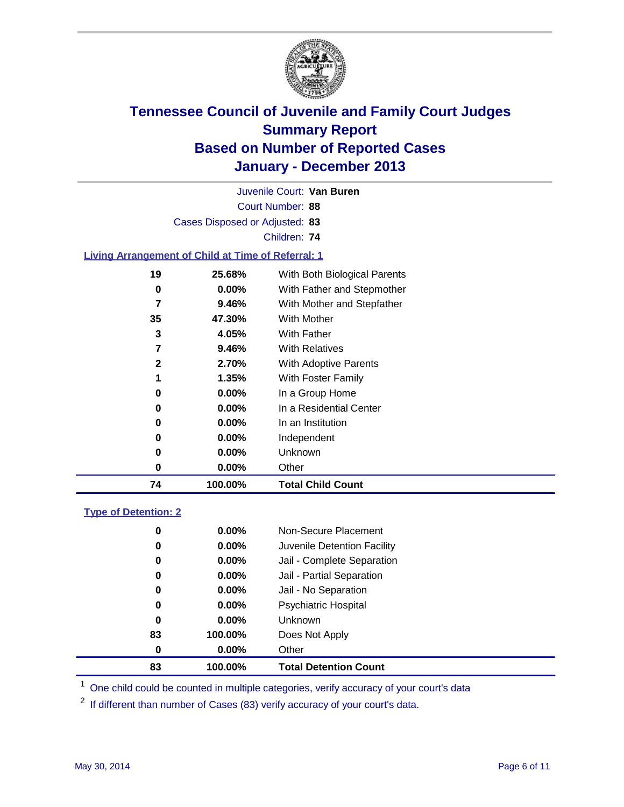

Court Number: **88** Juvenile Court: **Van Buren** Cases Disposed or Adjusted: **83** Children: **74**

### **Living Arrangement of Child at Time of Referral: 1**

| 74           | 100.00%  | <b>Total Child Count</b>     |  |
|--------------|----------|------------------------------|--|
| 0            | 0.00%    | Other                        |  |
| 0            | $0.00\%$ | Unknown                      |  |
| 0            | $0.00\%$ | Independent                  |  |
| 0            | $0.00\%$ | In an Institution            |  |
| 0            | $0.00\%$ | In a Residential Center      |  |
| 0            | $0.00\%$ | In a Group Home              |  |
|              | 1.35%    | With Foster Family           |  |
| $\mathbf{2}$ | 2.70%    | With Adoptive Parents        |  |
| 7            | 9.46%    | <b>With Relatives</b>        |  |
| 3            | 4.05%    | <b>With Father</b>           |  |
| 35           | 47.30%   | With Mother                  |  |
| 7            | 9.46%    | With Mother and Stepfather   |  |
| 0            | $0.00\%$ | With Father and Stepmother   |  |
| 19           | 25.68%   | With Both Biological Parents |  |
|              |          |                              |  |

### **Type of Detention: 2**

| 83 | 100.00%  | <b>Total Detention Count</b> |  |
|----|----------|------------------------------|--|
| 0  | $0.00\%$ | Other                        |  |
| 83 | 100.00%  | Does Not Apply               |  |
| 0  | $0.00\%$ | <b>Unknown</b>               |  |
| 0  | $0.00\%$ | <b>Psychiatric Hospital</b>  |  |
| 0  | 0.00%    | Jail - No Separation         |  |
| 0  | $0.00\%$ | Jail - Partial Separation    |  |
| 0  | 0.00%    | Jail - Complete Separation   |  |
| 0  | 0.00%    | Juvenile Detention Facility  |  |
| 0  | $0.00\%$ | Non-Secure Placement         |  |
|    |          |                              |  |

<sup>1</sup> One child could be counted in multiple categories, verify accuracy of your court's data

<sup>2</sup> If different than number of Cases (83) verify accuracy of your court's data.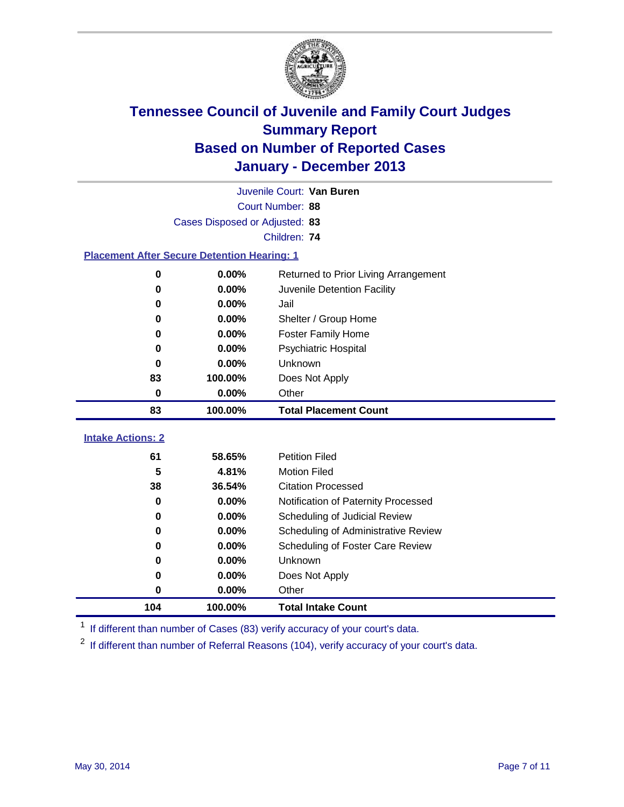

|                                                    | Juvenile Court: Van Buren      |                                      |  |  |  |
|----------------------------------------------------|--------------------------------|--------------------------------------|--|--|--|
|                                                    | Court Number: 88               |                                      |  |  |  |
|                                                    | Cases Disposed or Adjusted: 83 |                                      |  |  |  |
|                                                    |                                | Children: 74                         |  |  |  |
| <b>Placement After Secure Detention Hearing: 1</b> |                                |                                      |  |  |  |
| 0                                                  | 0.00%                          | Returned to Prior Living Arrangement |  |  |  |
| $\bf{0}$                                           | 0.00%                          | Juvenile Detention Facility          |  |  |  |
| 0                                                  | 0.00%                          | Jail                                 |  |  |  |
| 0                                                  | 0.00%                          | Shelter / Group Home                 |  |  |  |
| 0                                                  | 0.00%                          | <b>Foster Family Home</b>            |  |  |  |
| 0                                                  | 0.00%                          | <b>Psychiatric Hospital</b>          |  |  |  |
| $\bf{0}$                                           | 0.00%                          | Unknown                              |  |  |  |
| 83                                                 | 100.00%<br>Does Not Apply      |                                      |  |  |  |
| 0                                                  | 0.00%<br>Other                 |                                      |  |  |  |
| 83                                                 | 100.00%                        | <b>Total Placement Count</b>         |  |  |  |
|                                                    |                                |                                      |  |  |  |
| <b>Intake Actions: 2</b>                           |                                |                                      |  |  |  |
| 61                                                 | 58.65%                         | <b>Petition Filed</b>                |  |  |  |
| 5                                                  | 4.81%                          | <b>Motion Filed</b>                  |  |  |  |
| 38                                                 | 36.54%                         | <b>Citation Processed</b>            |  |  |  |
| $\bf{0}$                                           | 0.00%                          | Notification of Paternity Processed  |  |  |  |
| 0                                                  | 0.00%                          | Scheduling of Judicial Review        |  |  |  |
| $\bf{0}$                                           | 0.00%                          | Scheduling of Administrative Review  |  |  |  |
| 0                                                  | 0.00%                          | Scheduling of Foster Care Review     |  |  |  |
| 0                                                  | 0.00%                          | Unknown                              |  |  |  |
| 0                                                  |                                |                                      |  |  |  |
|                                                    | 0.00%                          | Does Not Apply                       |  |  |  |
| 0                                                  | 0.00%                          | Other                                |  |  |  |

<sup>1</sup> If different than number of Cases (83) verify accuracy of your court's data.

<sup>2</sup> If different than number of Referral Reasons (104), verify accuracy of your court's data.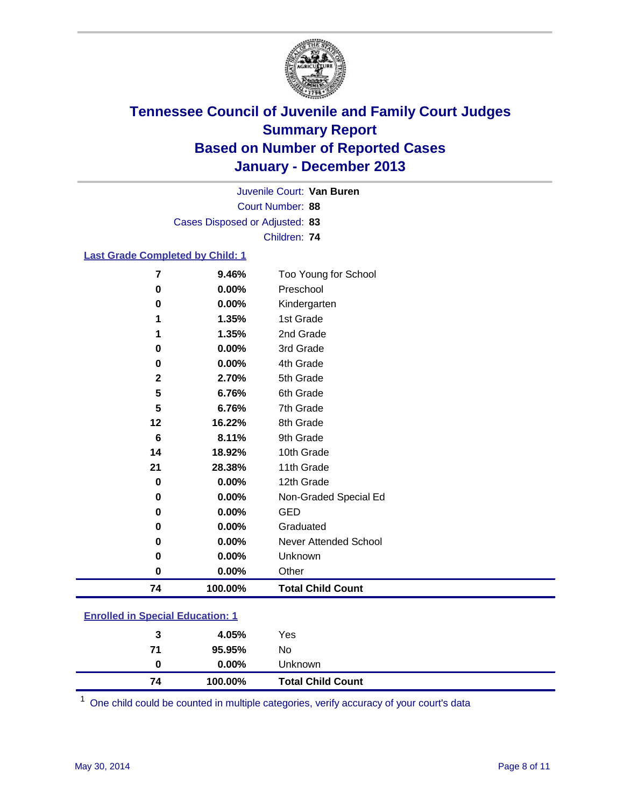

Court Number: **88** Juvenile Court: **Van Buren** Cases Disposed or Adjusted: **83** Children: **74**

### **Last Grade Completed by Child: 1**

| 0.00%<br>Preschool<br>0<br>0.00%<br>Kindergarten<br>$\bf{0}$<br>1st Grade<br>1.35%<br>1<br>2nd Grade<br>1.35%<br>1<br>0.00%<br>3rd Grade<br>$\bf{0}$<br>4th Grade<br>0.00%<br>0<br>5th Grade<br>$\mathbf 2$<br>2.70%<br>5<br>6th Grade<br>6.76%<br>$5\phantom{.0}$<br>7th Grade<br>6.76%<br>12<br>16.22%<br>8th Grade<br>6<br>8.11%<br>9th Grade<br>10th Grade<br>18.92%<br>14<br>11th Grade<br>21<br>28.38%<br>0.00%<br>12th Grade<br>0<br>0.00%<br>Non-Graded Special Ed<br>0<br>0.00%<br><b>GED</b><br>$\bf{0}$<br>0.00%<br>Graduated<br>0<br>0.00%<br>Never Attended School<br>0<br>0.00%<br>Unknown<br>$\bf{0}$<br>0<br>0.00%<br>Other<br><b>Total Child Count</b><br>100.00%<br>74 | 7 | 9.46% | Too Young for School |
|------------------------------------------------------------------------------------------------------------------------------------------------------------------------------------------------------------------------------------------------------------------------------------------------------------------------------------------------------------------------------------------------------------------------------------------------------------------------------------------------------------------------------------------------------------------------------------------------------------------------------------------------------------------------------------------|---|-------|----------------------|
|                                                                                                                                                                                                                                                                                                                                                                                                                                                                                                                                                                                                                                                                                          |   |       |                      |
|                                                                                                                                                                                                                                                                                                                                                                                                                                                                                                                                                                                                                                                                                          |   |       |                      |
|                                                                                                                                                                                                                                                                                                                                                                                                                                                                                                                                                                                                                                                                                          |   |       |                      |
|                                                                                                                                                                                                                                                                                                                                                                                                                                                                                                                                                                                                                                                                                          |   |       |                      |
|                                                                                                                                                                                                                                                                                                                                                                                                                                                                                                                                                                                                                                                                                          |   |       |                      |
|                                                                                                                                                                                                                                                                                                                                                                                                                                                                                                                                                                                                                                                                                          |   |       |                      |
|                                                                                                                                                                                                                                                                                                                                                                                                                                                                                                                                                                                                                                                                                          |   |       |                      |
|                                                                                                                                                                                                                                                                                                                                                                                                                                                                                                                                                                                                                                                                                          |   |       |                      |
|                                                                                                                                                                                                                                                                                                                                                                                                                                                                                                                                                                                                                                                                                          |   |       |                      |
|                                                                                                                                                                                                                                                                                                                                                                                                                                                                                                                                                                                                                                                                                          |   |       |                      |
|                                                                                                                                                                                                                                                                                                                                                                                                                                                                                                                                                                                                                                                                                          |   |       |                      |
|                                                                                                                                                                                                                                                                                                                                                                                                                                                                                                                                                                                                                                                                                          |   |       |                      |
|                                                                                                                                                                                                                                                                                                                                                                                                                                                                                                                                                                                                                                                                                          |   |       |                      |
|                                                                                                                                                                                                                                                                                                                                                                                                                                                                                                                                                                                                                                                                                          |   |       |                      |
|                                                                                                                                                                                                                                                                                                                                                                                                                                                                                                                                                                                                                                                                                          |   |       |                      |
|                                                                                                                                                                                                                                                                                                                                                                                                                                                                                                                                                                                                                                                                                          |   |       |                      |
|                                                                                                                                                                                                                                                                                                                                                                                                                                                                                                                                                                                                                                                                                          |   |       |                      |
|                                                                                                                                                                                                                                                                                                                                                                                                                                                                                                                                                                                                                                                                                          |   |       |                      |
|                                                                                                                                                                                                                                                                                                                                                                                                                                                                                                                                                                                                                                                                                          |   |       |                      |
|                                                                                                                                                                                                                                                                                                                                                                                                                                                                                                                                                                                                                                                                                          |   |       |                      |
|                                                                                                                                                                                                                                                                                                                                                                                                                                                                                                                                                                                                                                                                                          |   |       |                      |

| <b>Enrolled in Special Education: 1</b> |  |
|-----------------------------------------|--|
|-----------------------------------------|--|

| 74 | 100.00%  | <b>Total Child Count</b> |
|----|----------|--------------------------|
| 0  | $0.00\%$ | Unknown                  |
| 71 | 95.95%   | No                       |
| 3  | 4.05%    | Yes                      |
|    |          |                          |

One child could be counted in multiple categories, verify accuracy of your court's data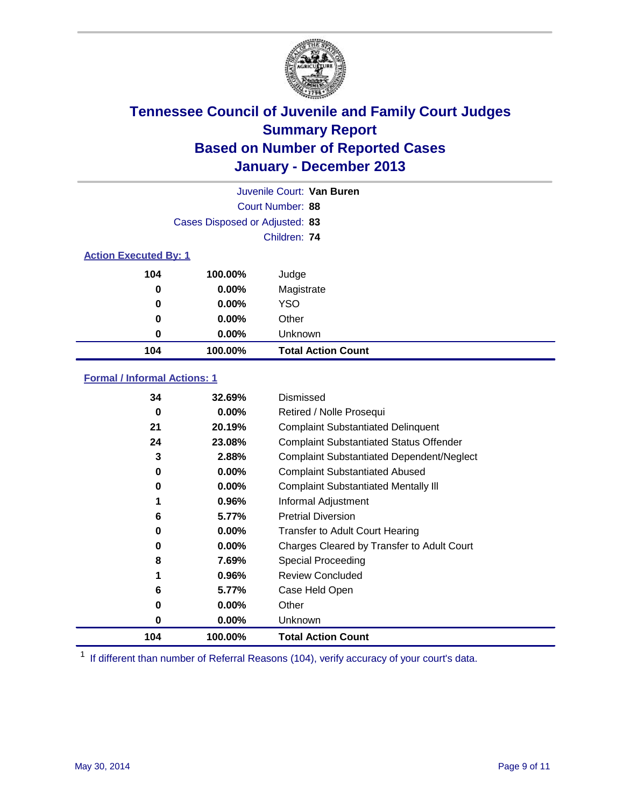

|     |                                | Juvenile Court: Van Buren |  |  |  |
|-----|--------------------------------|---------------------------|--|--|--|
|     | Court Number: 88               |                           |  |  |  |
|     | Cases Disposed or Adjusted: 83 |                           |  |  |  |
|     |                                | Children: 74              |  |  |  |
|     | <b>Action Executed By: 1</b>   |                           |  |  |  |
| 104 | 100.00%                        | Judge                     |  |  |  |
| 0   | $0.00\%$                       | Magistrate                |  |  |  |
| 0   | $0.00\%$                       | <b>YSO</b>                |  |  |  |
| 0   | $0.00\%$                       | Other                     |  |  |  |
| 0   | $0.00\%$                       | Unknown                   |  |  |  |
| 104 | 100.00%                        | <b>Total Action Count</b> |  |  |  |

### **Formal / Informal Actions: 1**

| 34  | 32.69%   | Dismissed                                        |
|-----|----------|--------------------------------------------------|
| 0   | $0.00\%$ | Retired / Nolle Prosequi                         |
| 21  | 20.19%   | <b>Complaint Substantiated Delinquent</b>        |
| 24  | 23.08%   | <b>Complaint Substantiated Status Offender</b>   |
| 3   | 2.88%    | <b>Complaint Substantiated Dependent/Neglect</b> |
| 0   | $0.00\%$ | <b>Complaint Substantiated Abused</b>            |
| 0   | $0.00\%$ | <b>Complaint Substantiated Mentally III</b>      |
|     | 0.96%    | Informal Adjustment                              |
| 6   | 5.77%    | <b>Pretrial Diversion</b>                        |
| 0   | $0.00\%$ | <b>Transfer to Adult Court Hearing</b>           |
| 0   | $0.00\%$ | Charges Cleared by Transfer to Adult Court       |
| 8   | 7.69%    | Special Proceeding                               |
| 1   | 0.96%    | <b>Review Concluded</b>                          |
| 6   | 5.77%    | Case Held Open                                   |
| 0   | $0.00\%$ | Other                                            |
| 0   | $0.00\%$ | Unknown                                          |
| 104 | 100.00%  | <b>Total Action Count</b>                        |

<sup>1</sup> If different than number of Referral Reasons (104), verify accuracy of your court's data.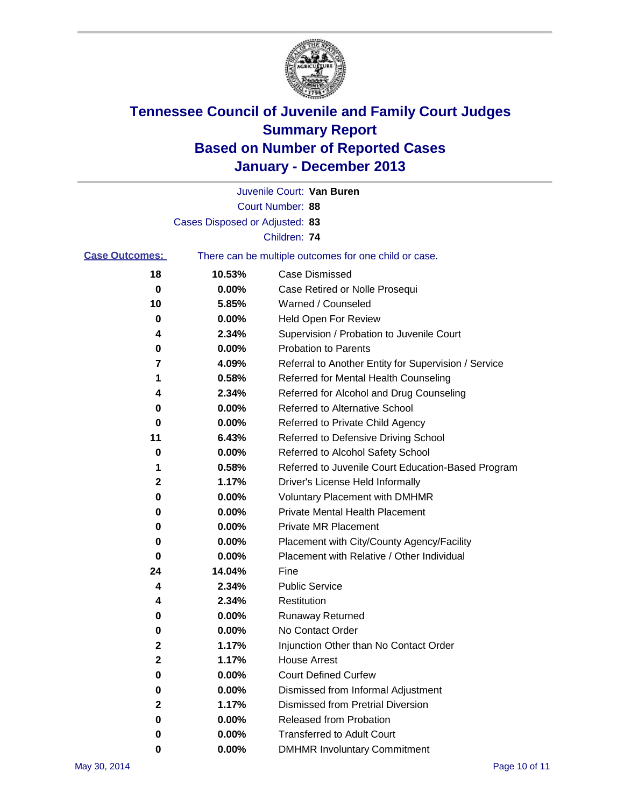

|                       |                                | Juvenile Court: Van Buren                             |
|-----------------------|--------------------------------|-------------------------------------------------------|
|                       |                                | Court Number: 88                                      |
|                       | Cases Disposed or Adjusted: 83 |                                                       |
|                       |                                | Children: 74                                          |
| <b>Case Outcomes:</b> |                                | There can be multiple outcomes for one child or case. |
| 18                    | 10.53%                         | <b>Case Dismissed</b>                                 |
| 0                     | 0.00%                          | Case Retired or Nolle Prosequi                        |
| 10                    | 5.85%                          | Warned / Counseled                                    |
| 0                     | 0.00%                          | Held Open For Review                                  |
| 4                     | 2.34%                          | Supervision / Probation to Juvenile Court             |
| 0                     | 0.00%                          | <b>Probation to Parents</b>                           |
| 7                     | 4.09%                          | Referral to Another Entity for Supervision / Service  |
| 1                     | 0.58%                          | Referred for Mental Health Counseling                 |
| 4                     | 2.34%                          | Referred for Alcohol and Drug Counseling              |
| 0                     | 0.00%                          | <b>Referred to Alternative School</b>                 |
| 0                     | 0.00%                          | Referred to Private Child Agency                      |
| 11                    | 6.43%                          | Referred to Defensive Driving School                  |
| 0                     | 0.00%                          | Referred to Alcohol Safety School                     |
| 1                     | 0.58%                          | Referred to Juvenile Court Education-Based Program    |
| 2                     | 1.17%                          | Driver's License Held Informally                      |
| 0                     | 0.00%                          | <b>Voluntary Placement with DMHMR</b>                 |
| 0                     | 0.00%                          | <b>Private Mental Health Placement</b>                |
| 0                     | 0.00%                          | <b>Private MR Placement</b>                           |
| 0                     | 0.00%                          | Placement with City/County Agency/Facility            |
| 0                     | 0.00%                          | Placement with Relative / Other Individual            |
| 24                    | 14.04%                         | Fine                                                  |
| 4                     | 2.34%                          | <b>Public Service</b>                                 |
| 4                     | 2.34%                          | Restitution                                           |
| 0                     | 0.00%                          | <b>Runaway Returned</b>                               |
| 0                     | 0.00%                          | No Contact Order                                      |
| 2                     | 1.17%                          | Injunction Other than No Contact Order                |
| 2                     | 1.17%                          | <b>House Arrest</b>                                   |
| 0                     | 0.00%                          | <b>Court Defined Curfew</b>                           |
| 0                     | 0.00%                          | Dismissed from Informal Adjustment                    |
| 2                     | 1.17%                          | <b>Dismissed from Pretrial Diversion</b>              |
| 0                     | 0.00%                          | Released from Probation                               |
| 0                     | 0.00%                          | <b>Transferred to Adult Court</b>                     |
| 0                     | 0.00%                          | <b>DMHMR Involuntary Commitment</b>                   |